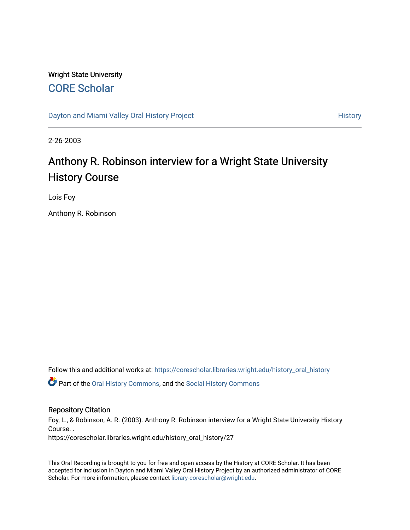## Wright State University [CORE Scholar](https://corescholar.libraries.wright.edu/)

[Dayton and Miami Valley Oral History Project](https://corescholar.libraries.wright.edu/history_oral_history) **History** History

2-26-2003

## Anthony R. Robinson interview for a Wright State University History Course

Lois Foy

Anthony R. Robinson

Follow this and additional works at: [https://corescholar.libraries.wright.edu/history\\_oral\\_history](https://corescholar.libraries.wright.edu/history_oral_history?utm_source=corescholar.libraries.wright.edu%2Fhistory_oral_history%2F27&utm_medium=PDF&utm_campaign=PDFCoverPages) 

Part of the [Oral History Commons](http://network.bepress.com/hgg/discipline/1195?utm_source=corescholar.libraries.wright.edu%2Fhistory_oral_history%2F27&utm_medium=PDF&utm_campaign=PDFCoverPages), and the [Social History Commons](http://network.bepress.com/hgg/discipline/506?utm_source=corescholar.libraries.wright.edu%2Fhistory_oral_history%2F27&utm_medium=PDF&utm_campaign=PDFCoverPages)

## Repository Citation

Foy, L., & Robinson, A. R. (2003). Anthony R. Robinson interview for a Wright State University History Course. . https://corescholar.libraries.wright.edu/history\_oral\_history/27

This Oral Recording is brought to you for free and open access by the History at CORE Scholar. It has been accepted for inclusion in Dayton and Miami Valley Oral History Project by an authorized administrator of CORE Scholar. For more information, please contact [library-corescholar@wright.edu](mailto:library-corescholar@wright.edu).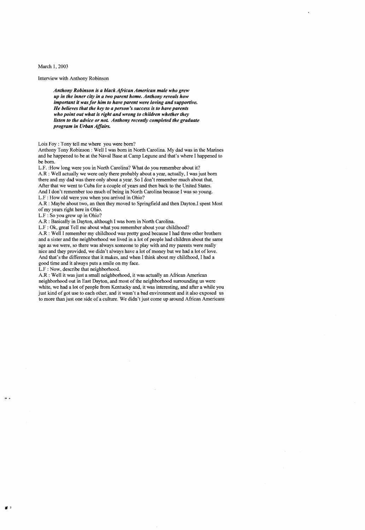March 1, 2003

Interview with Anthony Robinson

*Anthony Robinson is a black African American male who grew up in the inner city in a two parent home. Anthony reveals how important it was for him to have parent were loving and supportive. He believes that the key to a person's success is to have parents who point out what is right and wrong to children whether they listen to the advice or not Anthony recently completed the graduate program in Urban Affairs.* 

Lois Foy : Tony tell me where you were born?

Anthony Tony Robinson: Well I was born in North Carolina. My dad was in the Marines and he happened to be at the Naval Base at Camp Legune and that's where I happened to be born.

L.F. :How long were you in North Carolina? What do you remember about it? A.R : Well actually we were only there probably about a year, actually, I was just born there and my dad was there only about a year. So I don't remember much about that. After that we went to Cuba for a couple of years and then back to the United States. And I don't remember too much of being in North Carolina because I was so young. L.F : How old were you when you arrived in Ohio?

A.R : Maybe about two, an then they moved to Springfield and then Dayton.! spent Most ofmy years right here in Ohio.

L.F : So you grew up in Ohio?

A.R : Basically in Dayton, although I was born in North Carolina.

L.F : Ok, great Tell me about what you remember about your childhood?

A.R : Well I remember my childhood was pretty good because I had three other brothers and a sister and the neighborhood we lived in a lot of people had children about the same age as we were, so there was always someone to play with and my parents were really nice and they provided, we didn't always have a lot of money but we had a lot of love. And that's the difference that it makes, and when I think about my childhood, I had a good time and it always puts a smile on my face.

L.F : Now, describe that neighborhood.

A.R: Well it was just a small neighborhood, it was actually an African American neighborhood out in East Dayton, and most of the neighborhood surrounding us were white, we had a lot of people from Kentucky and, it was interesting, and after a while you just kind of got use to each other, and it wasn't a bad environment and it also exposed us to more than just one side of a culture. We didn't just come up around African Americans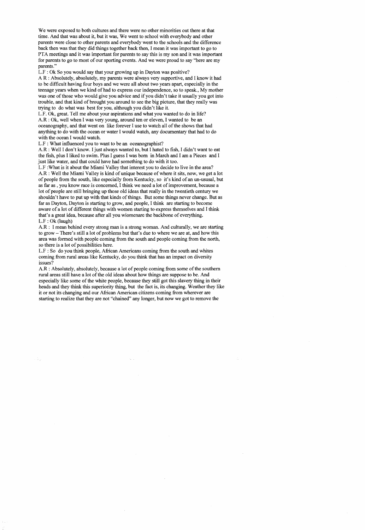We were exposed to both cultures and there were no other minorities out there at that time. And that was about it, but it was, We went to school with everybody and other parents were close to other parents and everybody went to the schools and the difference back then was that they did things together back then, I mean it was important to go to PTA meetings and it was important for parents to say this is my son and it was important for parents to go to most of our sporting events. And we were proud to say "here are my parents."

L.F : Ok So you would say that your growing up in Dayton was positive?

A R : Absolutely, absolutely, my parents were always very supportive, and I know it had to be difficult having four boys and we were all about two years apart, especially in the teenage years when we kind of had to express our independence, so to speak., My mother was one of those who would give you advice and if you didn't take it usually you got into trouble, and that kind of brought you around to see the big picture, that they really was trying to do what was best for you, although you didn't like it.

L.F. Ok, great. Tell me about your aspirations and what you wanted to do in life? A.R : Ok, well when I was very young, around ten or eleven, I wanted to be an oceanography, and that went on like forever I use to watch all of the shows that had anything to do with the ocean or water I would watch, any documentary that had to do with the ocean I would watch.

L.F : What influenced you to want to be an oceanographist?

A.R : Well I don't know. I just always wanted to, but I hated to fish, I didn't want to eat the fish, plus I liked to swim. Plus I guess I was born in March and I am a Pieces and I just like water, and that could have had something to do with it too.

L.F :What is it about the Miami Valley that interest you to decide to live in the area? A.R : Well the Miami Valley is kind of unique because of where it sits, now, we get a lot of people from the south, like especially from Kentucky, so it's kind of an un-ususal, but as far as, you know race is concerned. I think we need a lot of improvement, because a lot of people are still bringing up those old ideas that really in the twentieth century we shouldn't have to put up with that kinds of things. But some things never change. But as far as Dayton, Dayton is starting to grow, and people, I think are starting to become aware of a lot of different things with women starting to express themselves and I think that's a great idea, because after all you wiomenare the backbone of everything. L.F : Ok (laugh)

A.R: I mean behind every strong man is a strong woman. And culturally, we are starting to grow – There's still a lot of problems but that's due to where we are at, and how this area was formed with people coming from the south and people coming from the north, so there is a lot of possibilities here.

L.F : So do you think people, African Americans coming from the south and whites coming from rural areas like Kentucky, do you think that has an impact on diversity issues?

A.R : Absolutely, absolutely, because a lot of people coming from some of the southern rural areas still have a lot of the old ideas about how things are suppose to be. And especially like some of the white people, because they still got this slavery thing in their heads and they think this superiority thing, but the fact is, its changing. Weather they like it or not its changing and our African American citizens coming from wherever are starting to realize that they are not "chained" any longer, but now we got to remove the